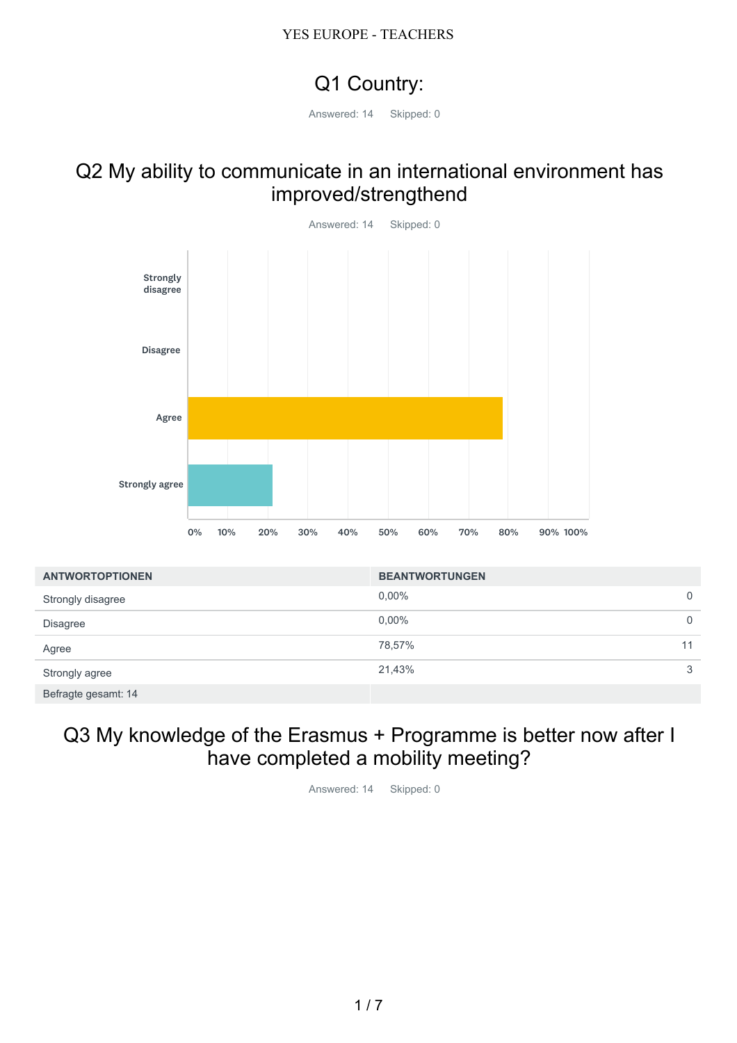# Q1 Country:

Answered: 14 Skipped: 0

### Q2 My ability to communicate in an international environment has improved/strengthend



# Q3 My knowledge of the Erasmus + Programme is better now after I have completed a mobility meeting?

Answered: 14 Skipped: 0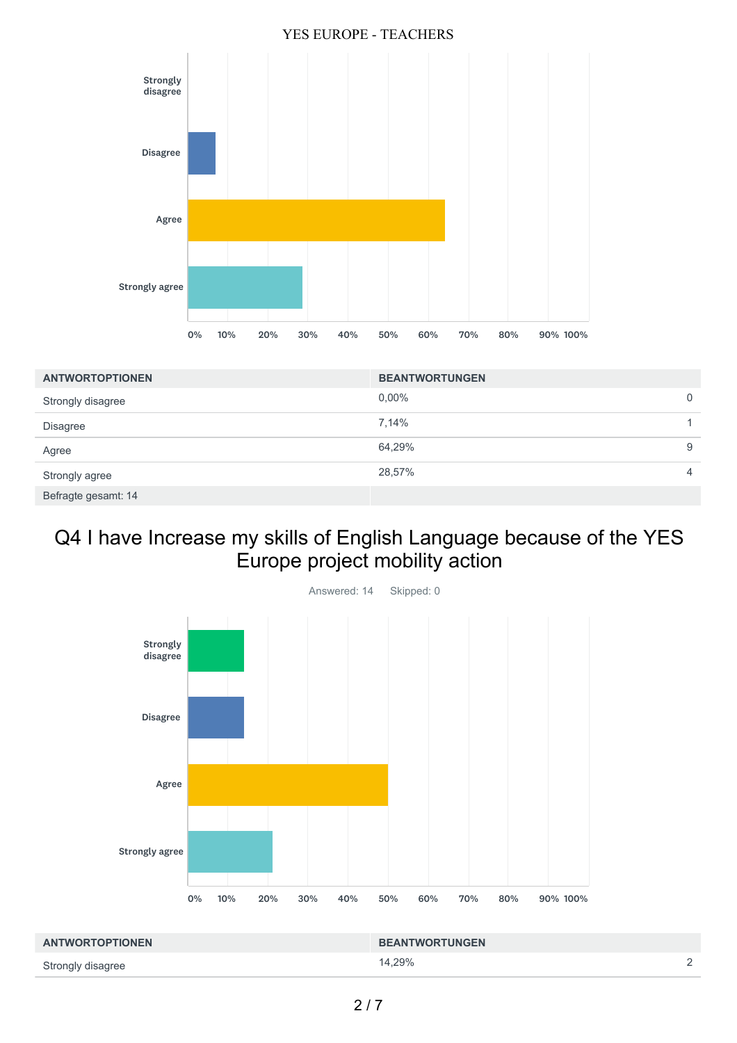

| <b>ANTWORTOPTIONEN</b> | <b>BEANTWORTUNGEN</b> |   |
|------------------------|-----------------------|---|
| Strongly disagree      | $0.00\%$              | 0 |
| <b>Disagree</b>        | 7,14%                 |   |
| Agree                  | 64,29%                | 9 |
| Strongly agree         | 28,57%                | 4 |
| Befragte gesamt: 14    |                       |   |

## Q4 I have Increase my skills of English Language because of the YES Europe project mobility action



| <b>ANTWORTOPTIONEN</b> | <b>BEANTWORTUNGEN</b> |        |
|------------------------|-----------------------|--------|
| Strongly disagree      | 14.29%                | $\sim$ |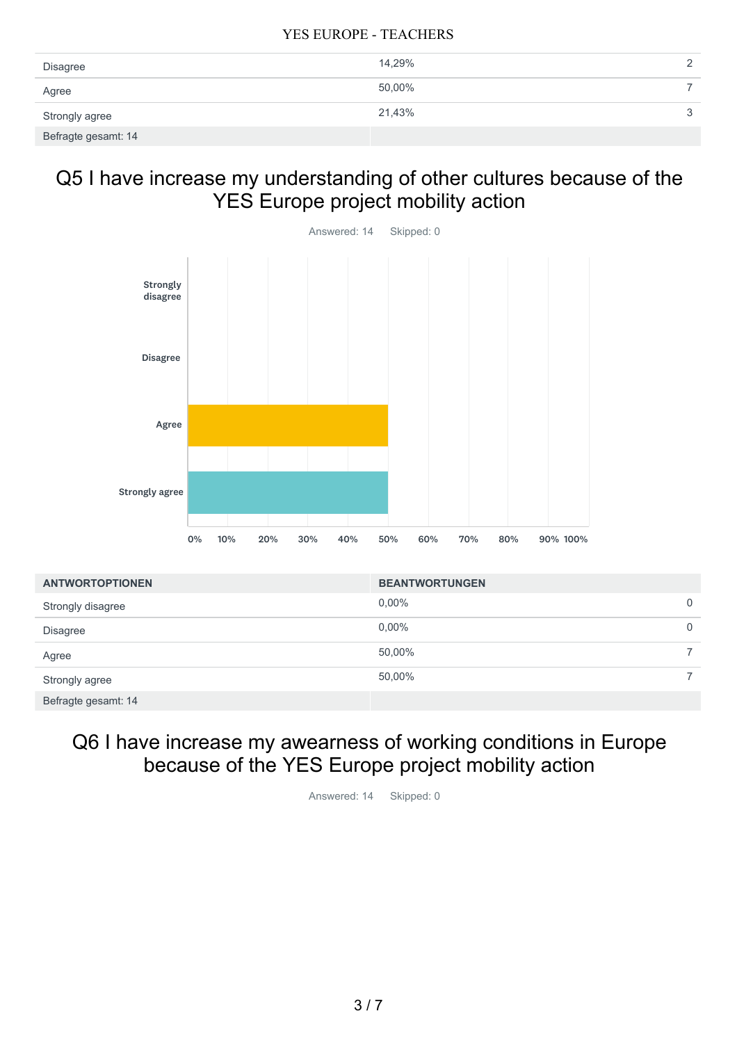| Disagree            | 14,29% |  |
|---------------------|--------|--|
| Agree               | 50,00% |  |
| Strongly agree      | 21,43% |  |
| Befragte gesamt: 14 |        |  |

## Q5 I have increase my understanding of other cultures because of the YES Europe project mobility action



| <b>ANTWORTOPTIONEN</b> | <b>BEANTWORTUNGEN</b> |   |
|------------------------|-----------------------|---|
| Strongly disagree      | $0.00\%$              | 0 |
| <b>Disagree</b>        | $0.00\%$              | 0 |
| Agree                  | 50,00%                |   |
| Strongly agree         | 50,00%                |   |
| Befragte gesamt: 14    |                       |   |

### Q6 I have increase my awearness of working conditions in Europe because of the YES Europe project mobility action

Answered: 14 Skipped: 0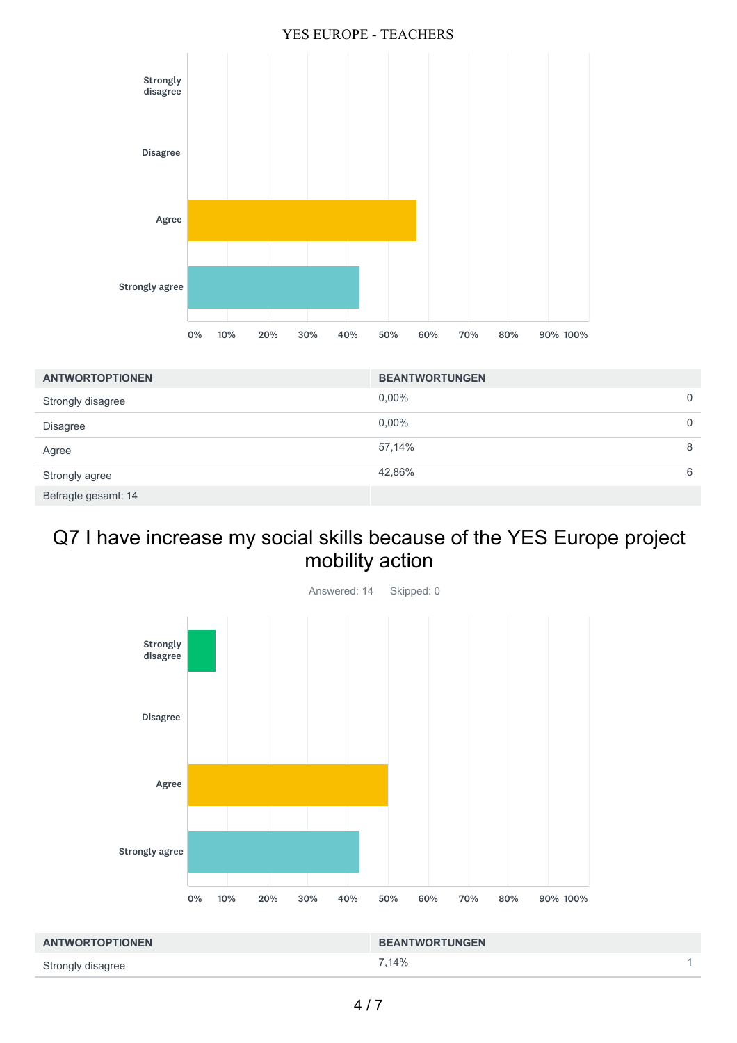

| <b>ANTWORTOPTIONEN</b> | <b>BEANTWORTUNGEN</b> |   |
|------------------------|-----------------------|---|
| Strongly disagree      | $0.00\%$              | 0 |
| <b>Disagree</b>        | $0.00\%$              | 0 |
| Agree                  | 57,14%                | 8 |
| Strongly agree         | 42,86%                | 6 |
| Befragte gesamt: 14    |                       |   |

## Q7 I have increase my social skills because of the YES Europe project mobility action



| <b>ANTWORTOPTIONEN</b> | <b>BEANTWORTUNGEN</b> |  |
|------------------------|-----------------------|--|
| Strongly disagree      | 7.14%                 |  |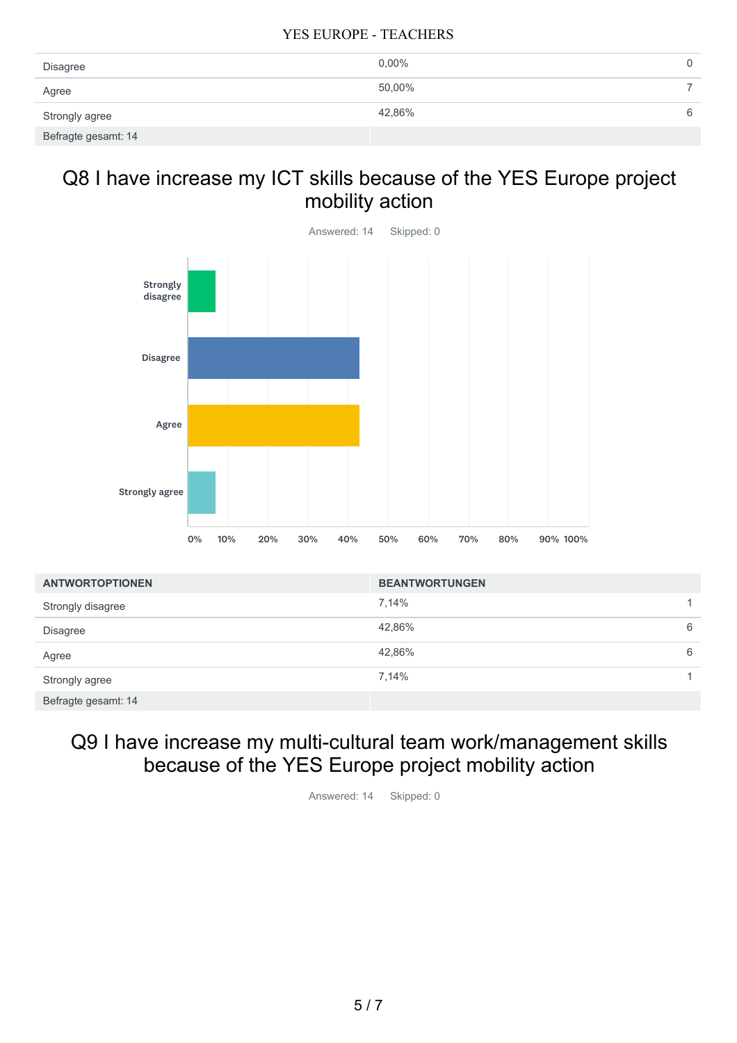| Disagree            | $0.00\%$ | 0 |
|---------------------|----------|---|
| Agree               | 50,00%   |   |
| Strongly agree      | 42,86%   | 6 |
| Befragte gesamt: 14 |          |   |

## Q8 I have increase my ICT skills because of the YES Europe project mobility action



| <b>ANTWORTOPTIONEN</b> | <b>BEANTWORTUNGEN</b> |              |
|------------------------|-----------------------|--------------|
| Strongly disagree      | 7,14%                 | 1.           |
| <b>Disagree</b>        | 42,86%                | 6            |
| Agree                  | 42,86%                | 6            |
| Strongly agree         | 7,14%                 | $\mathbf{1}$ |
| Befragte gesamt: 14    |                       |              |

### Q9 I have increase my multi-cultural team work/management skills because of the YES Europe project mobility action

Answered: 14 Skipped: 0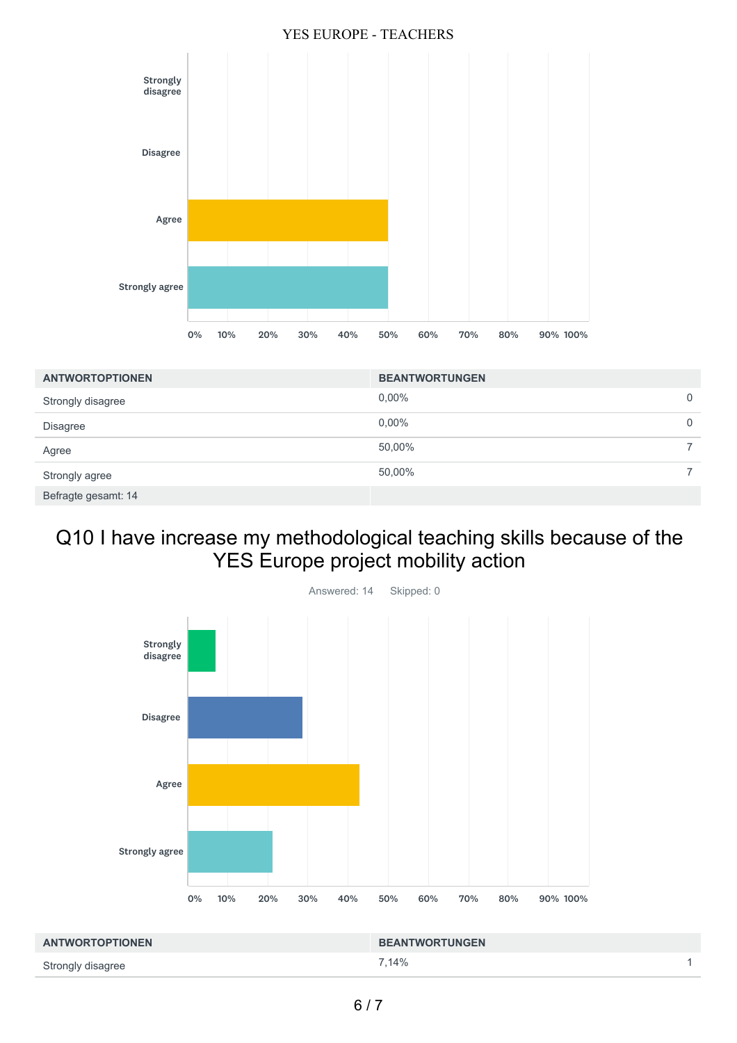

| <b>ANTWORTOPTIONEN</b> | <b>BEANTWORTUNGEN</b> |   |
|------------------------|-----------------------|---|
| Strongly disagree      | $0.00\%$              | 0 |
| Disagree               | $0.00\%$              | 0 |
| Agree                  | 50,00%                |   |
| Strongly agree         | 50,00%                |   |
| Befragte gesamt: 14    |                       |   |

# Q10 I have increase my methodological teaching skills because of the YES Europe project mobility action



| <b>ANTWORTOPTIONEN</b> | <b>BEANTWORTUNGEN</b> |  |
|------------------------|-----------------------|--|
| Strongly disagree      | 7.14%                 |  |